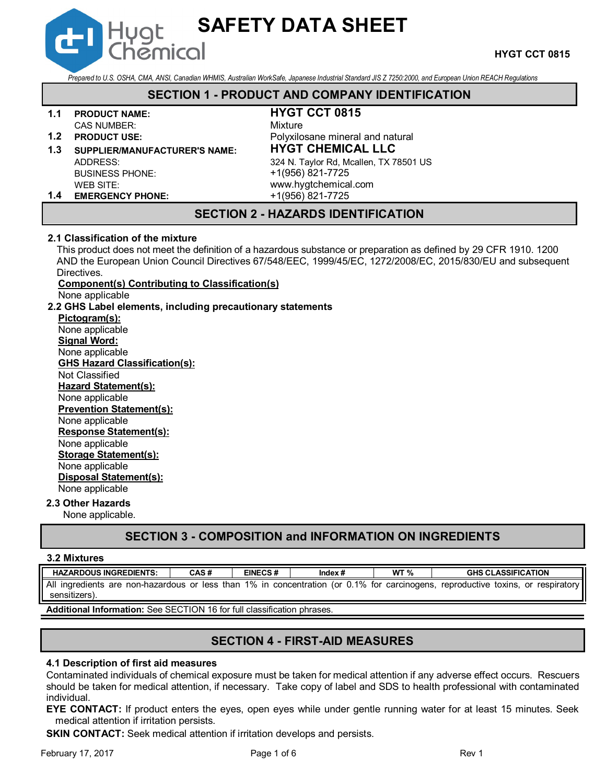*Prepared to U.S. OSHA, CMA, ANSI, Canadian WHMIS, Australian WorkSafe, Japanese Industrial Standard JIS Z 7250:2000, and European Union REACH Regulations*

**SAFETY DATA SHEET**

# **SECTION 1 - PRODUCT AND COMPANY IDENTIFICATION**

#### **1.1 PRODUCT NAME: HYGT CCT 0815** CAS NUMBER: Mixture

- 
- 

BUSINESS PHONE: +1(956) 821-7725

Hygt

**1.2 PRODUCT USE:** POLyxilosane mineral and natural **1.3 SUPPLIER/MANUFACTURER'S NAME: HYGT CHEMICAL LLC** ADDRESS: 324 N. Taylor Rd, Mcallen, TX 78501 US WEB SITE: www.hygtchemical.com

# **1.4 EMERGENCY PHONE:** +1(956) 821-7725

# **SECTION 2 - HAZARDS IDENTIFICATION**

## **2.1 Classification of the mixture**

This product does not meet the definition of a hazardous substance or preparation as defined by 29 CFR 1910. 1200 AND the European Union Council Directives 67/548/EEC, 1999/45/EC, 1272/2008/EC, 2015/830/EU and subsequent Directives.

# **Component(s) Contributing to Classification(s)**

None applicable

# **2.2 GHS Label elements, including precautionary statements**

**Pictogram(s):** None applicable **Signal Word:** None applicable **GHS Hazard Classification(s):** Not Classified **Hazard Statement(s):** None applicable **Prevention Statement(s):** None applicable **Response Statement(s):** None applicable **Storage Statement(s):** None applicable **Disposal Statement(s):** None applicable

# **2.3 Other Hazards**

None applicable.

# **SECTION 3 - COMPOSITION and INFORMATION ON INGREDIENTS**

## **3.2 Mixtures**

| <b>HAZARDOUS INGREDIENTS:</b>                                                                                 | CAS# | <b>EINECS#</b> | Index $#$ | WT $%$ | <b>GHS CLASSIFICATION</b>             |
|---------------------------------------------------------------------------------------------------------------|------|----------------|-----------|--------|---------------------------------------|
| All ingredients are non-hazardous or less than 1% in concentration (or 0.1% for carcinogens,<br>sensitizers). |      |                |           |        | , reproductive toxins, or respiratory |

**Additional Information:** See SECTION 16 for full classification phrases.

# **SECTION 4 - FIRST-AID MEASURES**

# **4.1 Description of first aid measures**

Contaminated individuals of chemical exposure must be taken for medical attention if any adverse effect occurs. Rescuers should be taken for medical attention, if necessary. Take copy of label and SDS to health professional with contaminated individual.

**EYE CONTACT:** If product enters the eyes, open eyes while under gentle running water for at least 15 minutes. Seek medical attention if irritation persists.

**SKIN CONTACT:** Seek medical attention if irritation develops and persists.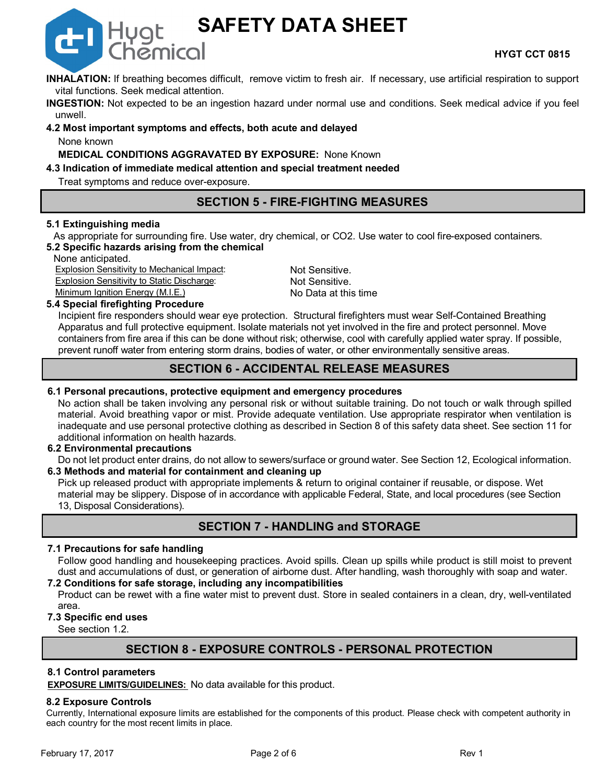

**SAFETY DATA SHEET**

**INHALATION:** If breathing becomes difficult, remove victim to fresh air. If necessary, use artificial respiration to support vital functions. Seek medical attention.

**INGESTION:** Not expected to be an ingestion hazard under normal use and conditions. Seek medical advice if you feel unwell.

**4.2 Most important symptoms and effects, both acute and delayed** None known

**MEDICAL CONDITIONS AGGRAVATED BY EXPOSURE:** None Known

# **4.3 Indication of immediate medical attention and special treatment needed**

Treat symptoms and reduce over-exposure.

# **SECTION 5 - FIRE-FIGHTING MEASURES**

# **5.1 Extinguishing media**

As appropriate for surrounding fire. Use water, dry chemical, or CO2. Use water to cool fire-exposed containers. **5.2 Specific hazards arising from the chemical**

None anticipated.

**Explosion Sensitivity to Mechanical Impact:** Not Sensitive. Explosion Sensitivity to Static Discharge: Not Sensitive. Minimum Ignition Energy (M.I.E.) No Data at this time

# **5.4 Special firefighting Procedure**

**D** Hygt

Incipient fire responders should wear eye protection. Structural firefighters must wear Self-Contained Breathing Apparatus and full protective equipment. Isolate materials not yet involved in the fire and protect personnel. Move containers from fire area if this can be done without risk; otherwise, cool with carefully applied water spray. If possible, prevent runoff water from entering storm drains, bodies of water, or other environmentally sensitive areas.

# **SECTION 6 - ACCIDENTAL RELEASE MEASURES**

# **6.1 Personal precautions, protective equipment and emergency procedures**

No action shall be taken involving any personal risk or without suitable training. Do not touch or walk through spilled material. Avoid breathing vapor or mist. Provide adequate ventilation. Use appropriate respirator when ventilation is inadequate and use personal protective clothing as described in Section 8 of this safety data sheet. See section 11 for additional information on health hazards.

## **6.2 Environmental precautions**

Do not let product enter drains, do not allow to sewers/surface or ground water. See Section 12, Ecological information. **6.3 Methods and material for containment and cleaning up**

Pick up released product with appropriate implements & return to original container if reusable, or dispose. Wet material may be slippery. Dispose of in accordance with applicable Federal, State, and local procedures (see Section 13, Disposal Considerations).

# **SECTION 7 - HANDLING and STORAGE**

# **7.1 Precautions for safe handling**

Follow good handling and housekeeping practices. Avoid spills. Clean up spills while product is still moist to prevent dust and accumulations of dust, or generation of airborne dust. After handling, wash thoroughly with soap and water.

# **7.2 Conditions for safe storage, including any incompatibilities**

Product can be rewet with a fine water mist to prevent dust. Store in sealed containers in a clean, dry, well-ventilated area.

## **7.3 Specific end uses**

See section 1.2.

# **SECTION 8 - EXPOSURE CONTROLS - PERSONAL PROTECTION**

## **8.1 Control parameters**

**EXPOSURE LIMITS/GUIDELINES:** No data available for this product.

## **8.2 Exposure Controls**

Currently, International exposure limits are established for the components of this product. Please check with competent authority in each country for the most recent limits in place.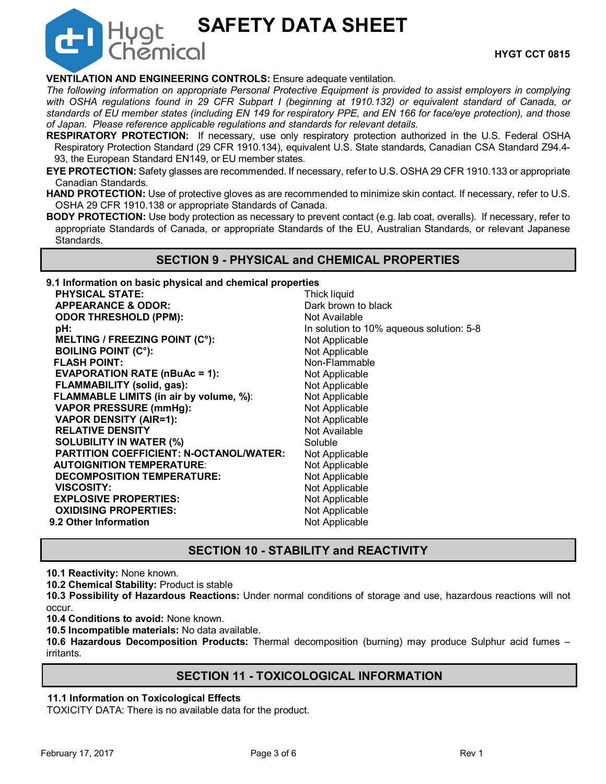# **SAFETY DATA SHEET**

# **VENTILATION AND ENGINEERING CONTROLS:** Ensure adequate ventilation.

**Hygt** 

*The following information on appropriate Personal Protective Equipment is provided to assist employers in complying with OSHA regulations found in 29 CFR Subpart I (beginning at 1910.132) or equivalent standard of Canada, or standards of EU member states (including EN 149 for respiratory PPE, and EN 166 for face/eye protection), and those of Japan. Please reference applicable regulations and standards for relevant details.*

- **RESPIRATORY PROTECTION:** If necessary, use only respiratory protection authorized in the U.S. Federal OSHA Respiratory Protection Standard (29 CFR 1910.134), equivalent U.S. State standards, Canadian CSA Standard Z94.4- 93, the European Standard EN149, or EU member states.
- **EYE PROTECTION:** Safety glasses are recommended. If necessary, refer to U.S. OSHA 29 CFR 1910.133 or appropriate Canadian Standards.
- **HAND PROTECTION:** Use of protective gloves as are recommended to minimize skin contact. If necessary, refer to U.S. OSHA 29 CFR 1910.138 or appropriate Standards of Canada.
- **BODY PROTECTION:** Use body protection as necessary to prevent contact (e.g. lab coat, overalls). If necessary, refer to appropriate Standards of Canada, or appropriate Standards of the EU, Australian Standards, or relevant Japanese Standards.

# **SECTION 9 - PHYSICAL and CHEMICAL PROPERTIES**

**9.1 Information on basic physical and chemical properties**

| <b>PHYSICAL STATE:</b>                         | <b>Thick liquid</b>                      |
|------------------------------------------------|------------------------------------------|
| <b>APPEARANCE &amp; ODOR:</b>                  | Dark brown to black                      |
| <b>ODOR THRESHOLD (PPM):</b>                   | Not Available                            |
| pH:                                            | In solution to 10% aqueous solution: 5-8 |
| <b>MELTING / FREEZING POINT (C°):</b>          | Not Applicable                           |
| <b>BOILING POINT (C°):</b>                     | Not Applicable                           |
| <b>FLASH POINT:</b>                            | Non-Flammable                            |
| <b>EVAPORATION RATE (nBuAc = 1):</b>           | Not Applicable                           |
| <b>FLAMMABILITY (solid, gas):</b>              | Not Applicable                           |
| <b>FLAMMABLE LIMITS (in air by volume, %):</b> | Not Applicable                           |
| <b>VAPOR PRESSURE (mmHg):</b>                  | Not Applicable                           |
| <b>VAPOR DENSITY (AIR=1):</b>                  | Not Applicable                           |
| <b>RELATIVE DENSITY</b>                        | Not Available                            |
| <b>SOLUBILITY IN WATER (%)</b>                 | Soluble                                  |
| <b>PARTITION COEFFICIENT: N-OCTANOL/WATER:</b> | Not Applicable                           |
| <b>AUTOIGNITION TEMPERATURE:</b>               | Not Applicable                           |
| <b>DECOMPOSITION TEMPERATURE:</b>              | Not Applicable                           |
| <b>VISCOSITY:</b>                              | Not Applicable                           |
| <b>EXPLOSIVE PROPERTIES:</b>                   | Not Applicable                           |
| <b>OXIDISING PROPERTIES:</b>                   | Not Applicable                           |
| 9.2 Other Information                          | Not Applicable                           |
|                                                |                                          |

# **SECTION 10 - STABILITY and REACTIVITY**

**10.1 Reactivity:** None known.

**10.2 Chemical Stability:** Product is stable

**10.3 Possibility of Hazardous Reactions:** Under normal conditions of storage and use, hazardous reactions will not occur.

**10.4 Conditions to avoid:** None known.

**10.5 Incompatible materials:** No data available.

**10.6 Hazardous Decomposition Products:** Thermal decomposition (burning) may produce Sulphur acid fumes – irritants.

# **SECTION 11 - TOXICOLOGICAL INFORMATION**

# **11.1 Information on Toxicological Effects**

TOXICITY DATA: There is no available data for the product.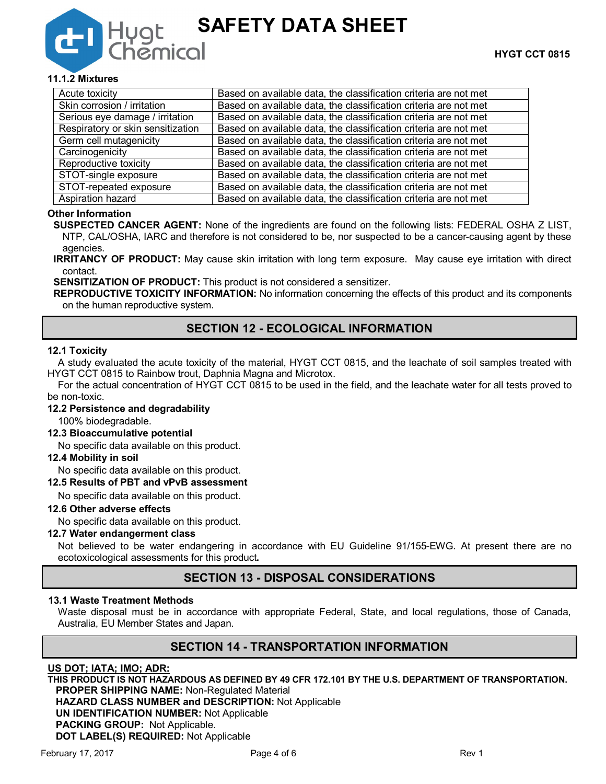# Hugt<br>Chemico **SAFETY DATA SHEET**

# **11.1.2 Mixtures**

| Acute toxicity                    | Based on available data, the classification criteria are not met |
|-----------------------------------|------------------------------------------------------------------|
| Skin corrosion / irritation       | Based on available data, the classification criteria are not met |
| Serious eye damage / irritation   | Based on available data, the classification criteria are not met |
| Respiratory or skin sensitization | Based on available data, the classification criteria are not met |
| Germ cell mutagenicity            | Based on available data, the classification criteria are not met |
| Carcinogenicity                   | Based on available data, the classification criteria are not met |
| Reproductive toxicity             | Based on available data, the classification criteria are not met |
| STOT-single exposure              | Based on available data, the classification criteria are not met |
| STOT-repeated exposure            | Based on available data, the classification criteria are not met |
| Aspiration hazard                 | Based on available data, the classification criteria are not met |

## **Other Information**

**SUSPECTED CANCER AGENT:** None of the ingredients are found on the following lists: FEDERAL OSHA Z LIST, NTP, CAL/OSHA, IARC and therefore is not considered to be, nor suspected to be a cancer-causing agent by these agencies.

**IRRITANCY OF PRODUCT:** May cause skin irritation with long term exposure. May cause eye irritation with direct contact.

**SENSITIZATION OF PRODUCT:** This product is not considered a sensitizer.

**REPRODUCTIVE TOXICITY INFORMATION:** No information concerning the effects of this product and its components on the human reproductive system.

# **SECTION 12 - ECOLOGICAL INFORMATION**

## **12.1 Toxicity**

A study evaluated the acute toxicity of the material, HYGT CCT 0815, and the leachate of soil samples treated with HYGT CCT 0815 to Rainbow trout, Daphnia Magna and Microtox.

For the actual concentration of HYGT CCT 0815 to be used in the field, and the leachate water for all tests proved to be non-toxic.

## **12.2 Persistence and degradability**

100% biodegradable.

## **12.3 Bioaccumulative potential**

No specific data available on this product.

#### **12.4 Mobility in soil**

No specific data available on this product.

# **12.5 Results of PBT and vPvB assessment**

No specific data available on this product.

#### **12.6 Other adverse effects**

No specific data available on this product.

# **12.7 Water endangerment class**

Not believed to be water endangering in accordance with EU Guideline 91/155-EWG. At present there are no ecotoxicological assessments for this product**.**

# **SECTION 13 - DISPOSAL CONSIDERATIONS**

#### **13.1 Waste Treatment Methods**

Waste disposal must be in accordance with appropriate Federal, State, and local regulations, those of Canada, Australia, EU Member States and Japan.

# **SECTION 14 - TRANSPORTATION INFORMATION**

## **US DOT; IATA; IMO; ADR:**

**THIS PRODUCT IS NOT HAZARDOUS AS DEFINED BY 49 CFR 172.101 BY THE U.S. DEPARTMENT OF TRANSPORTATION. PROPER SHIPPING NAME:** Non-Regulated Material **HAZARD CLASS NUMBER and DESCRIPTION:** Not Applicable **UN IDENTIFICATION NUMBER:** Not Applicable **PACKING GROUP:** Not Applicable.

**DOT LABEL(S) REQUIRED:** Not Applicable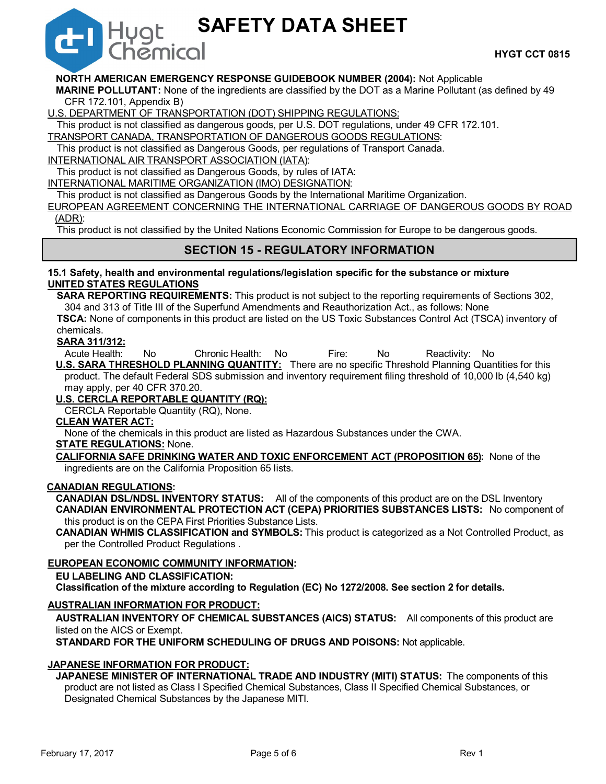# **SAFETY DATA SHEET**

# **NORTH AMERICAN EMERGENCY RESPONSE GUIDEBOOK NUMBER (2004):** Not Applicable

**MARINE POLLUTANT:** None of the ingredients are classified by the DOT as a Marine Pollutant (as defined by 49 CFR 172.101, Appendix B)

U.S. DEPARTMENT OF TRANSPORTATION (DOT) SHIPPING REGULATIONS:

This product is not classified as dangerous goods, per U.S. DOT regulations, under 49 CFR 172.101.

TRANSPORT CANADA, TRANSPORTATION OF DANGEROUS GOODS REGULATIONS:

This product is not classified as Dangerous Goods, per regulations of Transport Canada.

INTERNATIONAL AIR TRANSPORT ASSOCIATION (IATA):

Hygt

This product is not classified as Dangerous Goods, by rules of IATA:

INTERNATIONAL MARITIME ORGANIZATION (IMO) DESIGNATION:

This product is not classified as Dangerous Goods by the International Maritime Organization.

EUROPEAN AGREEMENT CONCERNING THE INTERNATIONAL CARRIAGE OF DANGEROUS GOODS BY ROAD (ADR):

This product is not classified by the United Nations Economic Commission for Europe to be dangerous goods.

# **SECTION 15 - REGULATORY INFORMATION**

## **15.1 Safety, health and environmental regulations/legislation specific for the substance or mixture UNITED STATES REGULATIONS**

**SARA REPORTING REQUIREMENTS:** This product is not subject to the reporting requirements of Sections 302, 304 and 313 of Title III of the Superfund Amendments and Reauthorization Act., as follows: None

**TSCA:** None of components in this product are listed on the US Toxic Substances Control Act (TSCA) inventory of chemicals.

**SARA 311/312:**

Acute Health: No Chronic Health: No Fire: No Reactivity: No **U.S. SARA THRESHOLD PLANNING QUANTITY:** There are no specific Threshold Planning Quantities for this product. The default Federal SDS submission and inventory requirement filing threshold of 10,000 lb (4,540 kg) may apply, per 40 CFR 370.20.

# **U.S. CERCLA REPORTABLE QUANTITY (RQ):**

CERCLA Reportable Quantity (RQ), None.

## **CLEAN WATER ACT:**

None of the chemicals in this product are listed as Hazardous Substances under the CWA.

## **STATE REGULATIONS:** None.

**CALIFORNIA SAFE DRINKING WATER AND TOXIC ENFORCEMENT ACT (PROPOSITION 65):** None of the ingredients are on the California Proposition 65 lists.

# **CANADIAN REGULATIONS:**

**CANADIAN DSL/NDSL INVENTORY STATUS:** All of the components of this product are on the DSL Inventory **CANADIAN ENVIRONMENTAL PROTECTION ACT (CEPA) PRIORITIES SUBSTANCES LISTS:** No component of this product is on the CEPA First Priorities Substance Lists.

**CANADIAN WHMIS CLASSIFICATION and SYMBOLS:** This product is categorized as a Not Controlled Product, as per the Controlled Product Regulations .

## **EUROPEAN ECONOMIC COMMUNITY INFORMATION:**

**EU LABELING AND CLASSIFICATION:** 

**Classification of the mixture according to Regulation (EC) No 1272/2008. See section 2 for details.**

## **AUSTRALIAN INFORMATION FOR PRODUCT:**

**AUSTRALIAN INVENTORY OF CHEMICAL SUBSTANCES (AICS) STATUS:** All components of this product are listed on the AICS or Exempt.

**STANDARD FOR THE UNIFORM SCHEDULING OF DRUGS AND POISONS:** Not applicable.

## **JAPANESE INFORMATION FOR PRODUCT:**

**JAPANESE MINISTER OF INTERNATIONAL TRADE AND INDUSTRY (MITI) STATUS:** The components of this product are not listed as Class I Specified Chemical Substances, Class II Specified Chemical Substances, or Designated Chemical Substances by the Japanese MITI.